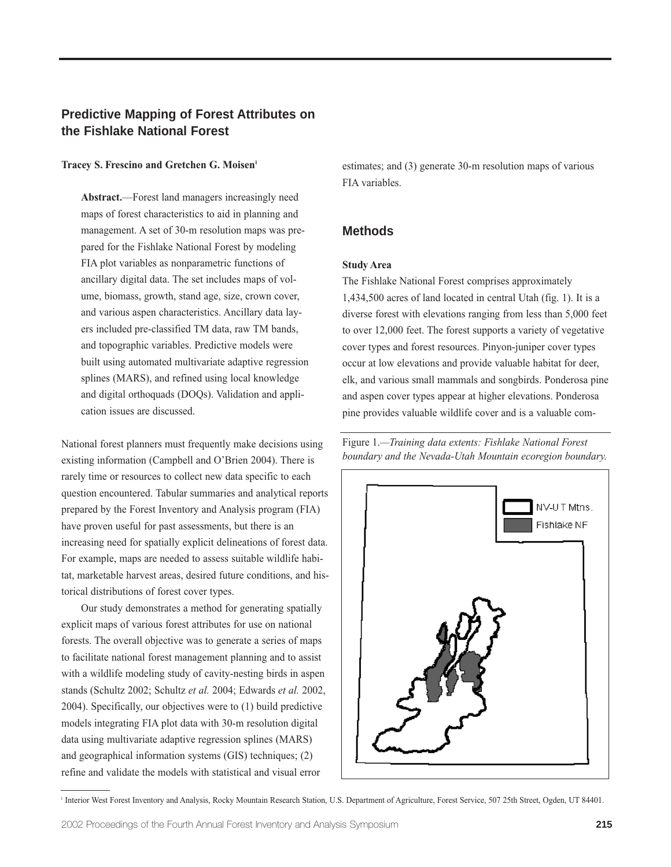# **Predictive Mapping of Forest Attributes on the Fishlake National Forest**

#### **Tracey S. Frescino and Gretchen G. Moisen1**

**Abstract.**—Forest land managers increasingly need maps of forest characteristics to aid in planning and management. A set of 30-m resolution maps was prepared for the Fishlake National Forest by modeling FIA plot variables as nonparametric functions of ancillary digital data. The set includes maps of volume, biomass, growth, stand age, size, crown cover, and various aspen characteristics. Ancillary data layers included pre-classified TM data, raw TM bands, and topographic variables. Predictive models were built using automated multivariate adaptive regression splines (MARS), and refined using local knowledge and digital orthoquads (DOQs). Validation and application issues are discussed.

National forest planners must frequently make decisions using existing information (Campbell and O'Brien 2004). There is rarely time or resources to collect new data specific to each question encountered. Tabular summaries and analytical reports prepared by the Forest Inventory and Analysis program (FIA) have proven useful for past assessments, but there is an increasing need for spatially explicit delineations of forest data. For example, maps are needed to assess suitable wildlife habitat, marketable harvest areas, desired future conditions, and historical distributions of forest cover types.

Our study demonstrates a method for generating spatially explicit maps of various forest attributes for use on national forests. The overall objective was to generate a series of maps to facilitate national forest management planning and to assist with a wildlife modeling study of cavity-nesting birds in aspen stands (Schultz 2002; Schultz *et al.* 2004; Edwards *et al.* 2002, 2004). Specifically, our objectives were to (1) build predictive models integrating FIA plot data with 30-m resolution digital data using multivariate adaptive regression splines (MARS) and geographical information systems (GIS) techniques; (2) refine and validate the models with statistical and visual error

estimates; and (3) generate 30-m resolution maps of various FIA variables.

## **Methods**

### **Study Area**

The Fishlake National Forest comprises approximately 1,434,500 acres of land located in central Utah (fig. 1). It is a diverse forest with elevations ranging from less than 5,000 feet to over 12,000 feet. The forest supports a variety of vegetative cover types and forest resources. Pinyon-juniper cover types occur at low elevations and provide valuable habitat for deer, elk, and various small mammals and songbirds. Ponderosa pine and aspen cover types appear at higher elevations. Ponderosa pine provides valuable wildlife cover and is a valuable com-

Figure 1.*—Training data extents: Fishlake National Forest boundary and the Nevada-Utah Mountain ecoregion boundary.*



<sup>1</sup> Interior West Forest Inventory and Analysis, Rocky Mountain Research Station, U.S. Department of Agriculture, Forest Service, 507 25th Street, Ogden, UT 84401.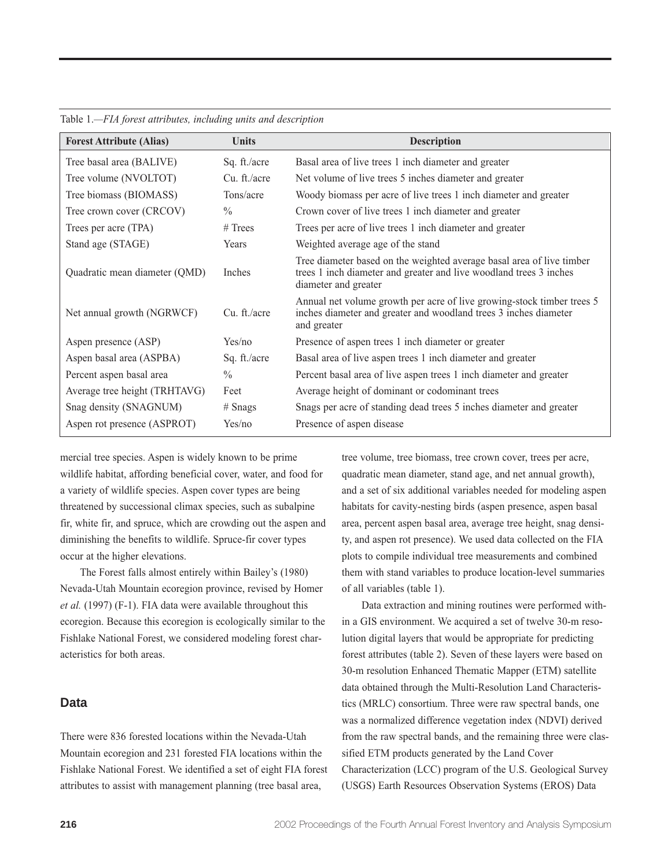| <b>Forest Attribute (Alias)</b> | <b>Units</b>  | <b>Description</b>                                                                                                                                                  |
|---------------------------------|---------------|---------------------------------------------------------------------------------------------------------------------------------------------------------------------|
| Tree basal area (BALIVE)        | Sq. ft./acre  | Basal area of live trees 1 inch diameter and greater                                                                                                                |
| Tree volume (NVOLTOT)           | Cu. ft./acre  | Net volume of live trees 5 inches diameter and greater                                                                                                              |
| Tree biomass (BIOMASS)          | Tons/acre     | Woody biomass per acre of live trees 1 inch diameter and greater                                                                                                    |
| Tree crown cover (CRCOV)        | $\frac{0}{0}$ | Crown cover of live trees 1 inch diameter and greater                                                                                                               |
| Trees per acre (TPA)            | $#$ Trees     | Trees per acre of live trees 1 inch diameter and greater                                                                                                            |
| Stand age (STAGE)               | Years         | Weighted average age of the stand                                                                                                                                   |
| Quadratic mean diameter (QMD)   | Inches        | Tree diameter based on the weighted average basal area of live timber<br>trees 1 inch diameter and greater and live woodland trees 3 inches<br>diameter and greater |
| Net annual growth (NGRWCF)      | Cu. ft./acre  | Annual net volume growth per acre of live growing-stock timber trees 5<br>inches diameter and greater and woodland trees 3 inches diameter<br>and greater           |
| Aspen presence (ASP)            | Yes/no        | Presence of aspen trees 1 inch diameter or greater                                                                                                                  |
| Aspen basal area (ASPBA)        | Sq. ft./acre  | Basal area of live aspen trees 1 inch diameter and greater                                                                                                          |
| Percent aspen basal area        | $\frac{0}{0}$ | Percent basal area of live aspen trees 1 inch diameter and greater                                                                                                  |
| Average tree height (TRHTAVG)   | Feet          | Average height of dominant or codominant trees                                                                                                                      |
| Snag density (SNAGNUM)          | $#$ Snags     | Snags per acre of standing dead trees 5 inches diameter and greater                                                                                                 |
| Aspen rot presence (ASPROT)     | Yes/no        | Presence of aspen disease                                                                                                                                           |

#### Table 1.*—FIA forest attributes, including units and description*

mercial tree species. Aspen is widely known to be prime wildlife habitat, affording beneficial cover, water, and food for a variety of wildlife species. Aspen cover types are being threatened by successional climax species, such as subalpine fir, white fir, and spruce, which are crowding out the aspen and diminishing the benefits to wildlife. Spruce-fir cover types occur at the higher elevations.

The Forest falls almost entirely within Bailey's (1980) Nevada-Utah Mountain ecoregion province, revised by Homer *et al.* (1997) (F-1). FIA data were available throughout this ecoregion. Because this ecoregion is ecologically similar to the Fishlake National Forest, we considered modeling forest characteristics for both areas.

### **Data**

There were 836 forested locations within the Nevada-Utah Mountain ecoregion and 231 forested FIA locations within the Fishlake National Forest. We identified a set of eight FIA forest attributes to assist with management planning (tree basal area,

tree volume, tree biomass, tree crown cover, trees per acre, quadratic mean diameter, stand age, and net annual growth), and a set of six additional variables needed for modeling aspen habitats for cavity-nesting birds (aspen presence, aspen basal area, percent aspen basal area, average tree height, snag density, and aspen rot presence). We used data collected on the FIA plots to compile individual tree measurements and combined them with stand variables to produce location-level summaries of all variables (table 1).

Data extraction and mining routines were performed within a GIS environment. We acquired a set of twelve 30-m resolution digital layers that would be appropriate for predicting forest attributes (table 2). Seven of these layers were based on 30-m resolution Enhanced Thematic Mapper (ETM) satellite data obtained through the Multi-Resolution Land Characteristics (MRLC) consortium. Three were raw spectral bands, one was a normalized difference vegetation index (NDVI) derived from the raw spectral bands, and the remaining three were classified ETM products generated by the Land Cover Characterization (LCC) program of the U.S. Geological Survey (USGS) Earth Resources Observation Systems (EROS) Data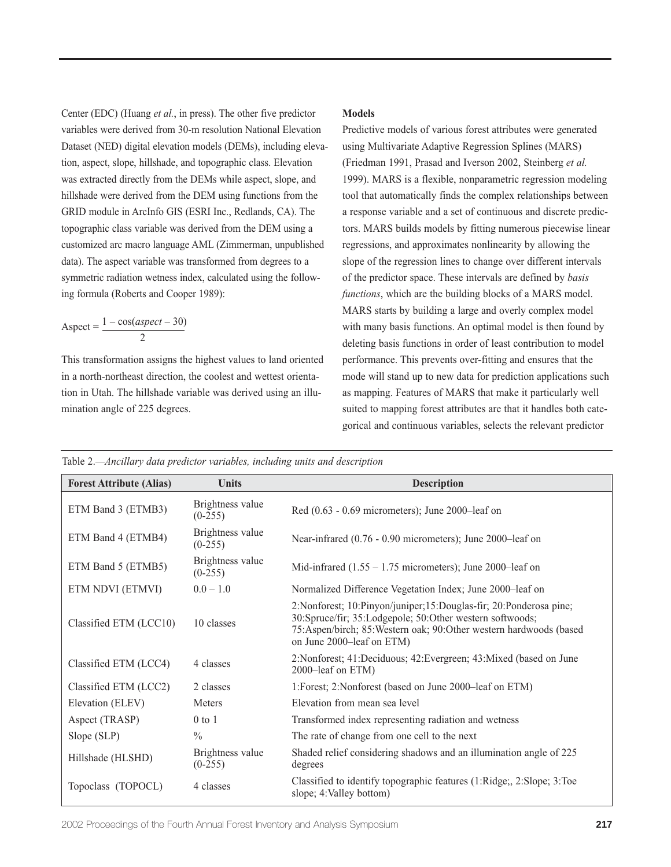Center (EDC) (Huang *et al.*, in press). The other five predictor variables were derived from 30-m resolution National Elevation Dataset (NED) digital elevation models (DEMs), including elevation, aspect, slope, hillshade, and topographic class. Elevation was extracted directly from the DEMs while aspect, slope, and hillshade were derived from the DEM using functions from the GRID module in ArcInfo GIS (ESRI Inc., Redlands, CA). The topographic class variable was derived from the DEM using a customized arc macro language AML (Zimmerman, unpublished data). The aspect variable was transformed from degrees to a symmetric radiation wetness index, calculated using the following formula (Roberts and Cooper 1989):

 $\text{Aspect} = \frac{1 - \cos(\text{aspect} - 30)}{}$ 2

This transformation assigns the highest values to land oriented in a north-northeast direction, the coolest and wettest orientation in Utah. The hillshade variable was derived using an illumination angle of 225 degrees.

#### **Models**

Predictive models of various forest attributes were generated using Multivariate Adaptive Regression Splines (MARS) (Friedman 1991, Prasad and Iverson 2002, Steinberg *et al.* 1999). MARS is a flexible, nonparametric regression modeling tool that automatically finds the complex relationships between a response variable and a set of continuous and discrete predictors. MARS builds models by fitting numerous piecewise linear regressions, and approximates nonlinearity by allowing the slope of the regression lines to change over different intervals of the predictor space. These intervals are defined by *basis functions*, which are the building blocks of a MARS model. MARS starts by building a large and overly complex model with many basis functions. An optimal model is then found by deleting basis functions in order of least contribution to model performance. This prevents over-fitting and ensures that the mode will stand up to new data for prediction applications such as mapping. Features of MARS that make it particularly well suited to mapping forest attributes are that it handles both categorical and continuous variables, selects the relevant predictor

| Table 2.—Ancillary data predictor variables, including units and description |  |
|------------------------------------------------------------------------------|--|
|------------------------------------------------------------------------------|--|

| <b>Forest Attribute (Alias)</b> | <b>Units</b>                  | <b>Description</b>                                                                                                                                                                                                                   |  |  |
|---------------------------------|-------------------------------|--------------------------------------------------------------------------------------------------------------------------------------------------------------------------------------------------------------------------------------|--|--|
| ETM Band 3 (ETMB3)              | Brightness value<br>$(0-255)$ | Red $(0.63 - 0.69$ micrometers); June 2000–leaf on                                                                                                                                                                                   |  |  |
| ETM Band 4 (ETMB4)              | Brightness value<br>$(0-255)$ | Near-infrared (0.76 - 0.90 micrometers); June 2000–leaf on                                                                                                                                                                           |  |  |
| ETM Band 5 (ETMB5)              | Brightness value<br>$(0-255)$ | Mid-infrared $(1.55 - 1.75$ micrometers); June 2000–leaf on                                                                                                                                                                          |  |  |
| ETM NDVI (ETMVI)                | $0.0 - 1.0$                   | Normalized Difference Vegetation Index; June 2000–leaf on                                                                                                                                                                            |  |  |
| Classified ETM (LCC10)          | 10 classes                    | 2: Nonforest; 10: Pinyon/juniper; 15: Douglas-fir; 20: Ponderosa pine;<br>30:Spruce/fir; 35:Lodgepole; 50:Other western softwoods;<br>75:Aspen/birch; 85:Western oak; 90:Other western hardwoods (based<br>on June 2000–leaf on ETM) |  |  |
| Classified ETM (LCC4)           | 4 classes                     | 2: Nonforest; 41: Deciduous; 42: Evergreen; 43: Mixed (based on June<br>2000-leaf on ETM)                                                                                                                                            |  |  |
| Classified ETM (LCC2)           | 2 classes                     | 1: Forest; 2: Nonforest (based on June 2000–leaf on ETM)                                                                                                                                                                             |  |  |
| Elevation (ELEV)                | <b>Meters</b>                 | Elevation from mean sea level                                                                                                                                                                                                        |  |  |
| Aspect (TRASP)                  | $0$ to $1$                    | Transformed index representing radiation and wetness                                                                                                                                                                                 |  |  |
| Slope (SLP)                     | $\frac{0}{0}$                 | The rate of change from one cell to the next                                                                                                                                                                                         |  |  |
| Hillshade (HLSHD)               | Brightness value<br>$(0-255)$ | Shaded relief considering shadows and an illumination angle of 225<br>degrees                                                                                                                                                        |  |  |
| Topoclass (TOPOCL)              | 4 classes                     | Classified to identify topographic features (1:Ridge;, 2:Slope; 3:Toe<br>slope; 4: Valley bottom)                                                                                                                                    |  |  |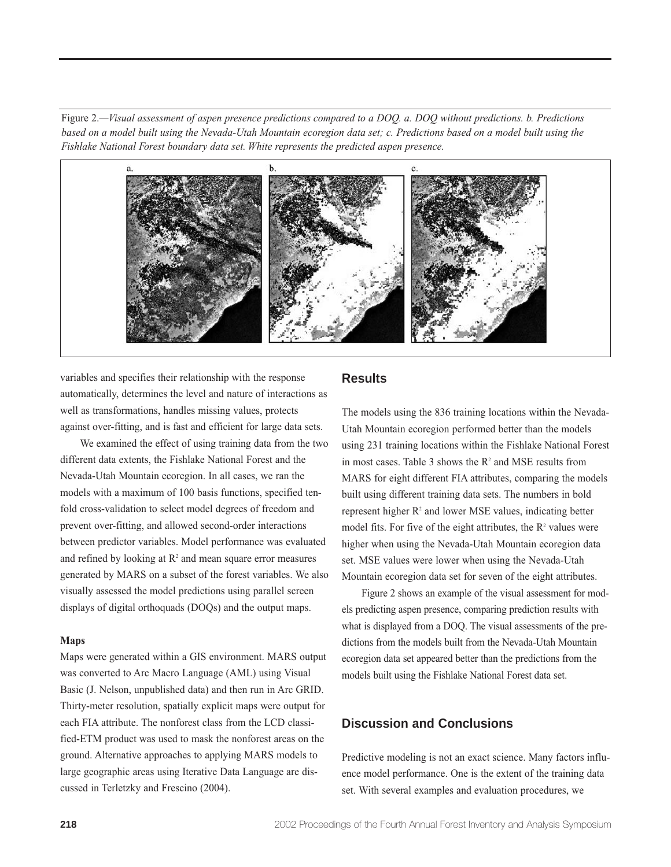Figure 2.*—Visual assessment of aspen presence predictions compared to a DOQ. a. DOQ without predictions. b. Predictions based on a model built using the Nevada-Utah Mountain ecoregion data set; c. Predictions based on a model built using the Fishlake National Forest boundary data set. White represents the predicted aspen presence.*



variables and specifies their relationship with the response automatically, determines the level and nature of interactions as well as transformations, handles missing values, protects against over-fitting, and is fast and efficient for large data sets.

We examined the effect of using training data from the two different data extents, the Fishlake National Forest and the Nevada-Utah Mountain ecoregion. In all cases, we ran the models with a maximum of 100 basis functions, specified tenfold cross-validation to select model degrees of freedom and prevent over-fitting, and allowed second-order interactions between predictor variables. Model performance was evaluated and refined by looking at  $\mathbb{R}^2$  and mean square error measures generated by MARS on a subset of the forest variables. We also visually assessed the model predictions using parallel screen displays of digital orthoquads (DOQs) and the output maps.

#### **Maps**

Maps were generated within a GIS environment. MARS output was converted to Arc Macro Language (AML) using Visual Basic (J. Nelson, unpublished data) and then run in Arc GRID. Thirty-meter resolution, spatially explicit maps were output for each FIA attribute. The nonforest class from the LCD classified-ETM product was used to mask the nonforest areas on the ground. Alternative approaches to applying MARS models to large geographic areas using Iterative Data Language are discussed in Terletzky and Frescino (2004).

### **Results**

The models using the 836 training locations within the Nevada-Utah Mountain ecoregion performed better than the models using 231 training locations within the Fishlake National Forest in most cases. Table 3 shows the  $R^2$  and MSE results from MARS for eight different FIA attributes, comparing the models built using different training data sets. The numbers in bold represent higher  $R<sup>2</sup>$  and lower MSE values, indicating better model fits. For five of the eight attributes, the  $R<sup>2</sup>$  values were higher when using the Nevada-Utah Mountain ecoregion data set. MSE values were lower when using the Nevada-Utah Mountain ecoregion data set for seven of the eight attributes.

Figure 2 shows an example of the visual assessment for models predicting aspen presence, comparing prediction results with what is displayed from a DOQ. The visual assessments of the predictions from the models built from the Nevada-Utah Mountain ecoregion data set appeared better than the predictions from the models built using the Fishlake National Forest data set.

## **Discussion and Conclusions**

Predictive modeling is not an exact science. Many factors influence model performance. One is the extent of the training data set. With several examples and evaluation procedures, we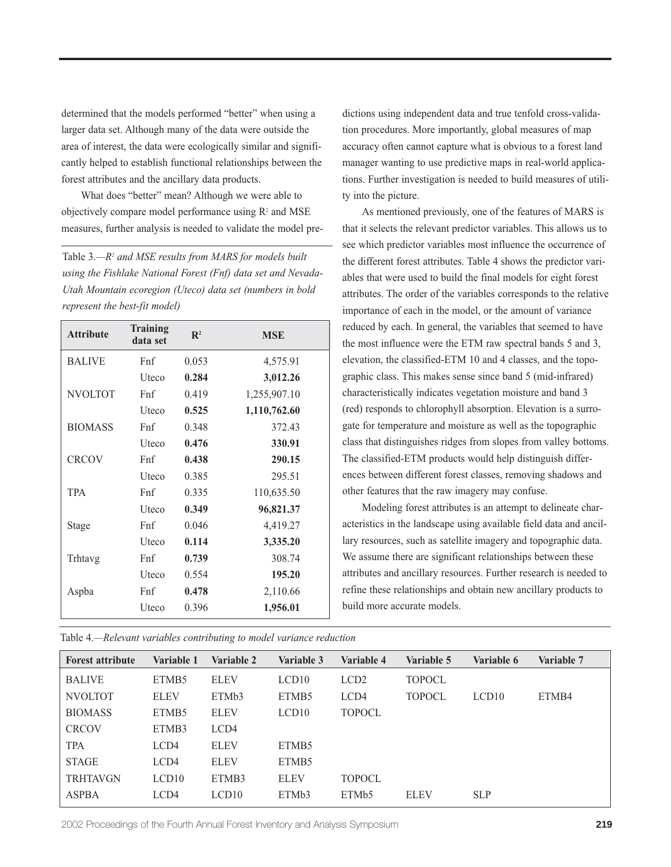determined that the models performed "better" when using a larger data set. Although many of the data were outside the area of interest, the data were ecologically similar and significantly helped to establish functional relationships between the forest attributes and the ancillary data products.

What does "better" mean? Although we were able to objectively compare model performance using  $R<sup>2</sup>$  and MSE measures, further analysis is needed to validate the model pre-

Table 3.*—R2 and MSE results from MARS for models built using the Fishlake National Forest (Fnf) data set and Nevada-Utah Mountain ecoregion (Uteco) data set (numbers in bold represent the best-fit model)*

| <b>Attribute</b> | Training<br>data set | $\mathbb{R}^2$ | <b>MSE</b>   |
|------------------|----------------------|----------------|--------------|
| <b>BALIVE</b>    | Fnf                  | 0.053          | 4,575.91     |
|                  | <b>U</b> teco        | 0.284          | 3,012.26     |
| <b>NVOLTOT</b>   | Fnf                  | 0.419          | 1,255,907.10 |
|                  | Uteco                | 0.525          | 1,110,762.60 |
| <b>BIOMASS</b>   | Fnf                  | 0.348          | 372.43       |
|                  | Uteco                | 0.476          | 330.91       |
| <b>CRCOV</b>     | Fnf                  | 0.438          | 290.15       |
|                  | Uteco                | 0.385          | 295.51       |
| <b>TPA</b>       | Fnf                  | 0.335          | 110,635.50   |
|                  | Uteco                | 0.349          | 96,821.37    |
| Stage            | Fnf                  | 0.046          | 4,419.27     |
|                  | Uteco                | 0.114          | 3,335.20     |
| Trhtavg          | Fnf                  | 0.739          | 308.74       |
|                  | Uteco                | 0.554          | 195.20       |
| Aspba            | Fnf                  | 0.478          | 2,110.66     |
|                  | Uteco                | 0.396          | 1,956.01     |

Table 4.*—Relevant variables contributing to model variance reduction*

dictions using independent data and true tenfold cross-validation procedures. More importantly, global measures of map accuracy often cannot capture what is obvious to a forest land manager wanting to use predictive maps in real-world applications. Further investigation is needed to build measures of utility into the picture.

As mentioned previously, one of the features of MARS is that it selects the relevant predictor variables. This allows us to see which predictor variables most influence the occurrence of the different forest attributes. Table 4 shows the predictor variables that were used to build the final models for eight forest attributes. The order of the variables corresponds to the relative importance of each in the model, or the amount of variance reduced by each. In general, the variables that seemed to have the most influence were the ETM raw spectral bands 5 and 3, elevation, the classified-ETM 10 and 4 classes, and the topographic class. This makes sense since band 5 (mid-infrared) characteristically indicates vegetation moisture and band 3 (red) responds to chlorophyll absorption. Elevation is a surrogate for temperature and moisture as well as the topographic class that distinguishes ridges from slopes from valley bottoms. The classified-ETM products would help distinguish differences between different forest classes, removing shadows and other features that the raw imagery may confuse.

Modeling forest attributes is an attempt to delineate characteristics in the landscape using available field data and ancillary resources, such as satellite imagery and topographic data. We assume there are significant relationships between these attributes and ancillary resources. Further research is needed to refine these relationships and obtain new ancillary products to build more accurate models.

| <b>Forest attribute</b> | Variable 1        | Variable 2  | Variable 3         | Variable 4        | Variable 5    | Variable 6 | Variable 7 |
|-------------------------|-------------------|-------------|--------------------|-------------------|---------------|------------|------------|
| <b>BALIVE</b>           | ETMB <sub>5</sub> | <b>ELEV</b> | LCD10              | LCD <sub>2</sub>  | <b>TOPOCL</b> |            |            |
| <b>NVOLTOT</b>          | <b>ELEV</b>       | ETMb3       | ETMB <sub>5</sub>  | LCD4              | <b>TOPOCL</b> | LCD10      | ETMB4      |
| <b>BIOMASS</b>          | ETMB <sub>5</sub> | <b>ELEV</b> | LCD10              | <b>TOPOCL</b>     |               |            |            |
| <b>CRCOV</b>            | ETMB3             | LCD4        |                    |                   |               |            |            |
| <b>TPA</b>              | LCD4              | <b>ELEV</b> | ETMB <sub>5</sub>  |                   |               |            |            |
| <b>STAGE</b>            | LCD4              | <b>ELEV</b> | ETMB <sub>5</sub>  |                   |               |            |            |
| <b>TRHTAVGN</b>         | LCD10             | ETMB3       | <b>ELEV</b>        | <b>TOPOCL</b>     |               |            |            |
| <b>ASPBA</b>            | LCD4              | LCD10       | ETM <sub>b</sub> 3 | ETM <sub>b5</sub> | <b>ELEV</b>   | <b>SLP</b> |            |

2002 Proceedings of the Fourth Annual Forest Inventory and Analysis Symposium **219**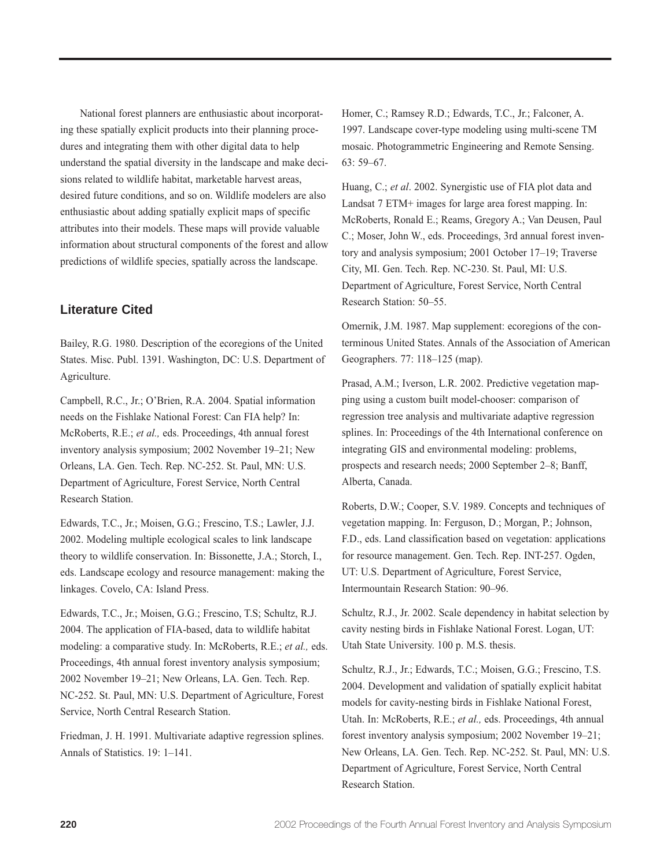National forest planners are enthusiastic about incorporating these spatially explicit products into their planning procedures and integrating them with other digital data to help understand the spatial diversity in the landscape and make decisions related to wildlife habitat, marketable harvest areas, desired future conditions, and so on. Wildlife modelers are also enthusiastic about adding spatially explicit maps of specific attributes into their models. These maps will provide valuable information about structural components of the forest and allow predictions of wildlife species, spatially across the landscape.

## **Literature Cited**

Bailey, R.G. 1980. Description of the ecoregions of the United States. Misc. Publ. 1391. Washington, DC: U.S. Department of Agriculture.

Campbell, R.C., Jr.; O'Brien, R.A. 2004. Spatial information needs on the Fishlake National Forest: Can FIA help? In: McRoberts, R.E.; *et al.,* eds. Proceedings, 4th annual forest inventory analysis symposium; 2002 November 19–21; New Orleans, LA. Gen. Tech. Rep. NC-252. St. Paul, MN: U.S. Department of Agriculture, Forest Service, North Central Research Station.

Edwards, T.C., Jr.; Moisen, G.G.; Frescino, T.S.; Lawler, J.J. 2002. Modeling multiple ecological scales to link landscape theory to wildlife conservation. In: Bissonette, J.A.; Storch, I., eds. Landscape ecology and resource management: making the linkages. Covelo, CA: Island Press.

Edwards, T.C., Jr.; Moisen, G.G.; Frescino, T.S; Schultz, R.J. 2004. The application of FIA-based, data to wildlife habitat modeling: a comparative study. In: McRoberts, R.E.; *et al.,* eds. Proceedings, 4th annual forest inventory analysis symposium; 2002 November 19–21; New Orleans, LA. Gen. Tech. Rep. NC-252. St. Paul, MN: U.S. Department of Agriculture, Forest Service, North Central Research Station.

Friedman, J. H. 1991. Multivariate adaptive regression splines. Annals of Statistics. 19: 1–141.

Homer, C.; Ramsey R.D.; Edwards, T.C., Jr.; Falconer, A. 1997. Landscape cover-type modeling using multi-scene TM mosaic. Photogrammetric Engineering and Remote Sensing. 63: 59–67.

Huang, C.; *et al*. 2002. Synergistic use of FIA plot data and Landsat 7 ETM+ images for large area forest mapping. In: McRoberts, Ronald E.; Reams, Gregory A.; Van Deusen, Paul C.; Moser, John W., eds. Proceedings, 3rd annual forest inventory and analysis symposium; 2001 October 17–19; Traverse City, MI. Gen. Tech. Rep. NC-230. St. Paul, MI: U.S. Department of Agriculture, Forest Service, North Central Research Station: 50–55.

Omernik, J.M. 1987. Map supplement: ecoregions of the conterminous United States. Annals of the Association of American Geographers. 77: 118–125 (map).

Prasad, A.M.; Iverson, L.R. 2002. Predictive vegetation mapping using a custom built model-chooser: comparison of regression tree analysis and multivariate adaptive regression splines. In: Proceedings of the 4th International conference on integrating GIS and environmental modeling: problems, prospects and research needs; 2000 September 2–8; Banff, Alberta, Canada.

Roberts, D.W.; Cooper, S.V. 1989. Concepts and techniques of vegetation mapping. In: Ferguson, D.; Morgan, P.; Johnson, F.D., eds. Land classification based on vegetation: applications for resource management. Gen. Tech. Rep. INT-257. Ogden, UT: U.S. Department of Agriculture, Forest Service, Intermountain Research Station: 90–96.

Schultz, R.J., Jr. 2002. Scale dependency in habitat selection by cavity nesting birds in Fishlake National Forest. Logan, UT: Utah State University. 100 p. M.S. thesis.

Schultz, R.J., Jr.; Edwards, T.C.; Moisen, G.G.; Frescino, T.S. 2004. Development and validation of spatially explicit habitat models for cavity-nesting birds in Fishlake National Forest, Utah. In: McRoberts, R.E.; *et al.,* eds. Proceedings, 4th annual forest inventory analysis symposium; 2002 November 19–21; New Orleans, LA. Gen. Tech. Rep. NC-252. St. Paul, MN: U.S. Department of Agriculture, Forest Service, North Central Research Station.